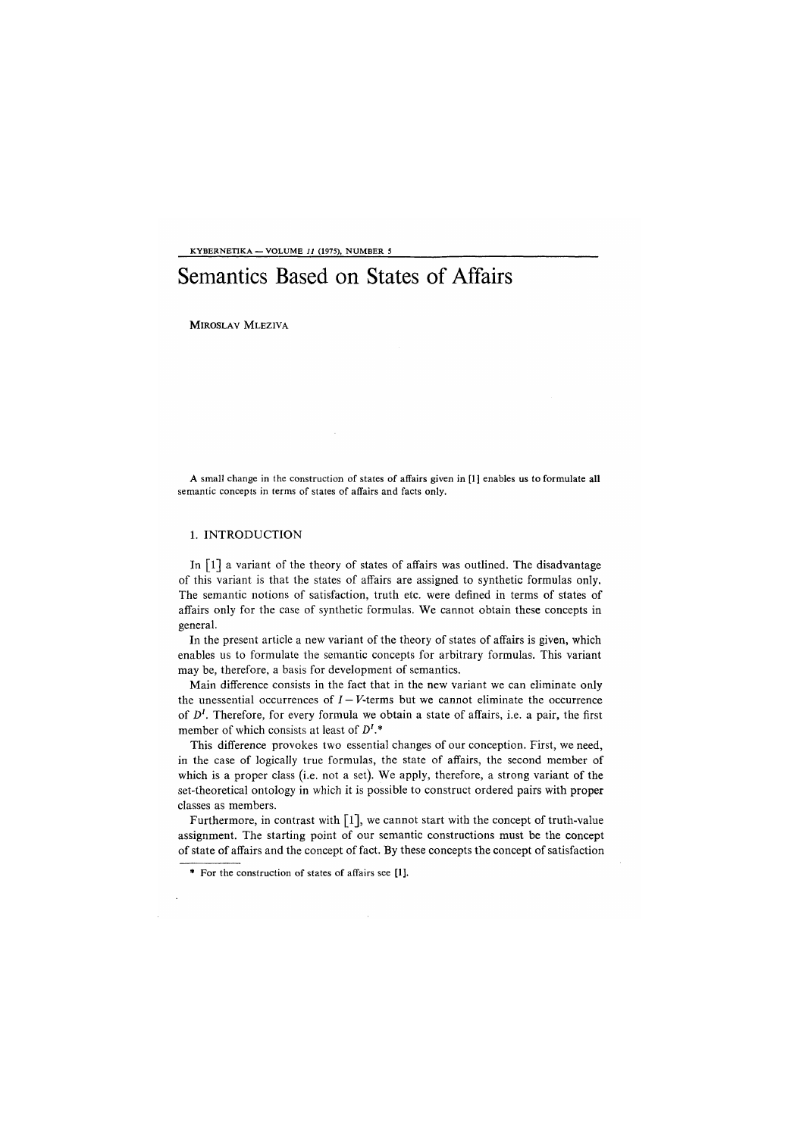KYBERNETIKA — VOLUME *11* (1975), NUMBER 5

# Semantics Based on States of Affairs

MIROSLAV MLEZIVA

A small change in the construction of states of affairs given in [1] enables us to formulate **all**  semantic concepts in terms of states of affairs and facts only.

## 1. INTRODUCTION

In  $\lceil 1 \rceil$  a variant of the theory of states of affairs was outlined. The disadvantage of this variant is that the states of affairs are assigned to synthetic formulas only. The semantic notions of satisfaction, truth etc. were defined in terms of states of affairs only for the case of synthetic formulas. We cannot obtain these concepts in general.

In the present article a new variant of the theory of states of affairs is given, which enables us to formulate the semantic concepts for arbitrary formulas. This variant may be, therefore, a basis for development of semantics.

Main difference consists in the fact that in the new variant we can eliminate only the unessential occurrences of  $I - V$ -terms but we cannot eliminate the occurrence of *D<sup>1</sup> .* Therefore, for every formula we obtain a state of affairs, i.e. a pair, the first member of which consists at least of *D<sup>1</sup> \** 

This difference provokes two essential changes of our conception. First, we need, in the case of logically true formulas, the state of affairs, the second member of which is a proper class (i.e. not a set). We apply, therefore, a strong variant of the set-theoretical ontology in which it is possible to construct ordered pairs with proper classes as members.

Furthermore, in contrast with [1], we cannot start with the concept of truth-value assignment. The starting point of our semantic constructions must be the concept of state of affairs and the concept of fact. By these concepts the concept of satisfaction

**For** the construction of states of affairs see **[1].**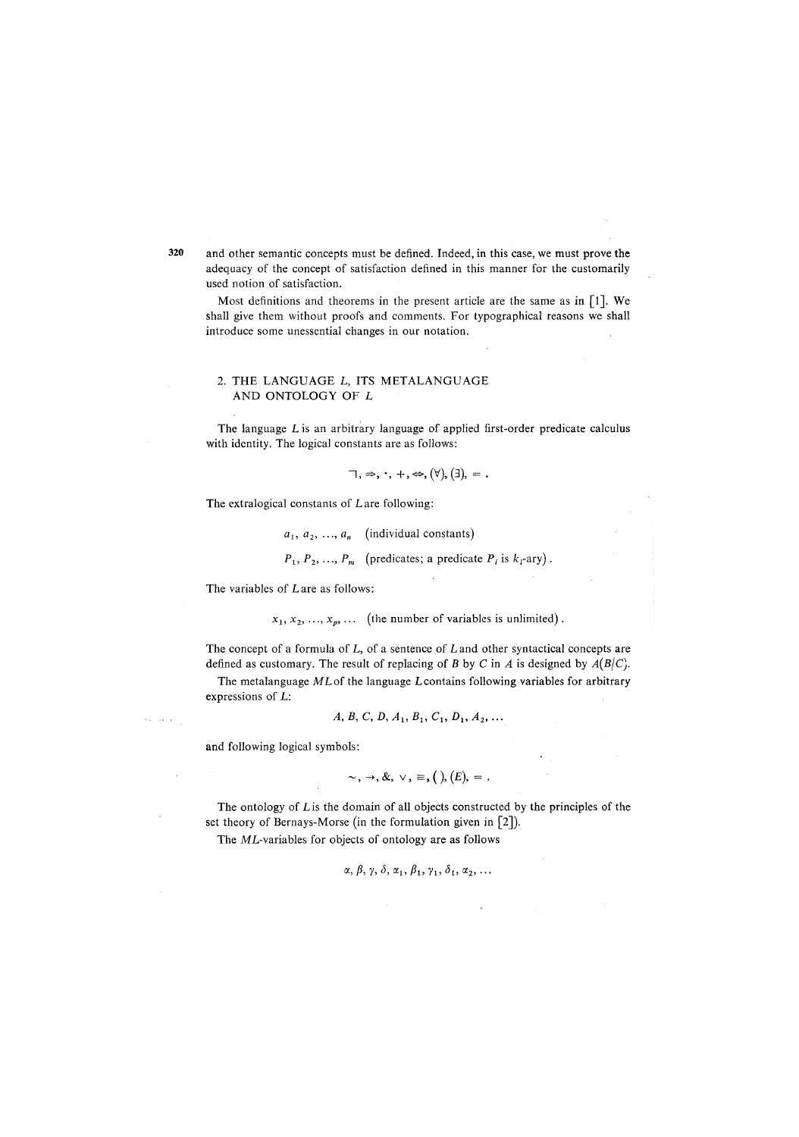320 and other semantic concepts must be defined. Indeed, in this case, we must prove the adequacy of the concept of satisfaction defined in this manner for the customarily used notion of satisfaction.

Most definitions and theorems in the present article are the same as in  $[1]$ . We shall give them without proofs and comments. For typographical reasons we shall introduce some unessential changes in our notation.

## 2. THE LANGUAGE L, ITS METALANGUAGE AND ONTOLOGY OF L

The language L is an arbitrary language of applied first-order predicate calculus with identity. The logical constants are as follows:

$$
\lnot, \Rightarrow, \cdot, +, \Leftrightarrow, (\forall), (\exists), = .
$$

The extralogical constants of L are following:

 $a_1, a_2, \ldots, a_n$  (individual constants)

 $P_1, P_2, \ldots, P_m$  (predicates; a predicate  $P_i$  is  $k_i$ -ary).

The variables of Lare as follows:

 $x_1, x_2, \ldots, x_p, \ldots$  (the number of variables is unlimited).

The concept of a formula of L, of a sentence of L and other syntactical concepts are defined as customary. The result of replacing of *B* by *C* in *A* is designed by  $A(B|C)$ .

The metalanguage ML of the language L contains following variables for arbitrary expressions of L:

$$
A, B, C, D, A_1, B_1, C_1, D_1, A_2, \ldots
$$

and following logical symbols:

$$
\sim, \rightarrow, \&, \vee, \equiv, ( ), (E), =
$$

The ontology of Lis the domain of all objects constructed by the principles of the set theory of Bernays-Morse (in the formulation given in [2]).

The ML-variables for objects of ontology are as follows

$$
\alpha, \beta, \gamma, \delta, \alpha_1, \beta_1, \gamma_1, \delta_1, \alpha_2, \ldots
$$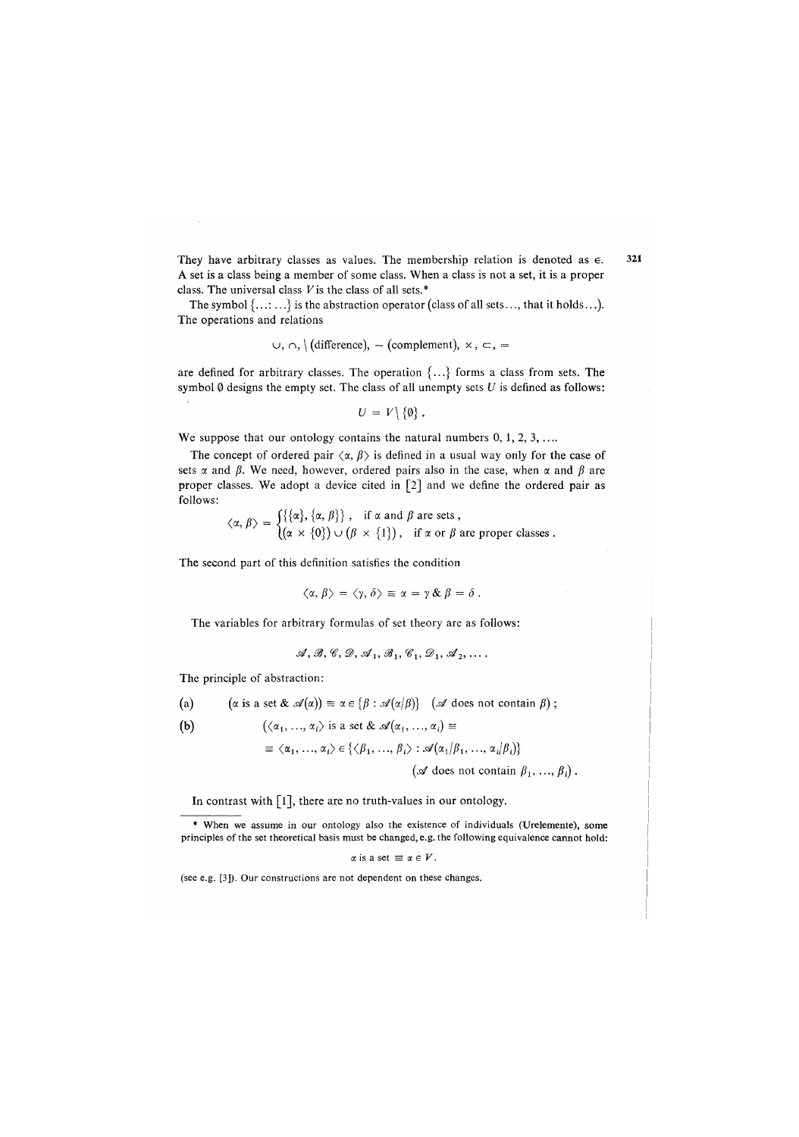They have arbitrary classes as values. The membership relation is denoted as  $\epsilon$ . A set is a class being a member of some class. When a class is not a set, it is a proper class. The universal class *V*is the class of all sets.\*

The symbol {...:...} is the abstraction operator *(*class of all sets..., that it holds...). The operations and relations

$$
\cup, \cap, \setminus (\text{difference}), - (\text{complement}), \times, \subset, =
$$

are defined for arbitrary classes. The operation  $\{...\}$  forms a class from sets. The symbol 0 designs the empty set. The class of all unempty sets *U* is defined as follows:

$$
U = V \setminus \{\emptyset\}.
$$

We suppose that our ontology contains the natural numbers 0, 1, 2, 3, ...

The concept of ordered pair  $\langle \alpha, \beta \rangle$  is defined in a usual way only for the case of sets  $\alpha$  and  $\beta$ . We need, however, ordered pairs also in the case, when  $\alpha$  and  $\beta$  are proper classes. We adopt a device cited in [2] and we define the ordered pair as follows:

$$
\langle \alpha, \beta \rangle = \begin{cases} \{\{\alpha\}, \{\alpha, \beta\}\}, & \text{if } \alpha \text{ and } \beta \text{ are sets,} \\ (\alpha \times \{0\}) \cup (\beta \times \{1\}), & \text{if } \alpha \text{ or } \beta \text{ are proper classes.} \end{cases}
$$

The second part of this definition satisfies the condition

$$
\langle \alpha, \beta \rangle = \langle \gamma, \delta \rangle \equiv \alpha = \gamma \& \beta = \delta.
$$

The variables for arbitrary formulas of set theory are as follows:

$$
\mathcal{A}, \mathcal{B}, \mathcal{C}, \mathcal{D}, \mathcal{A}_1, \mathcal{B}_1, \mathcal{C}_1, \mathcal{D}_1, \mathcal{A}_2, \ldots
$$

The principle of abstraction:

(a)  $(\alpha \text{ is a set } \& \mathcal{A}(\alpha)) \equiv \alpha \in \{\beta : \mathcal{A}(\alpha/\beta)\}$  ( $\mathcal A$  does not contain  $\beta)$ ;

$$
(a_1, ..., a_i) \text{ is a set } \alpha \text{ or } (a_1, ..., a_i) =
$$

 $= \langle a_1, ..., a_i \rangle \in \{ \langle p_1, ..., p_i \rangle : \mathcal{A}(a_1/p_1, ..., a_i/p_i) \}$  $(\mathscr{A}$  does not contain  $\beta_1, ..., \beta_i$ .

In contrast with [1], there are no truth-values in our ontology.

\* When we assume in our ontology also the existence of individuals (Urelemente), some principles of the set theoretical basis must be changed, e.g. the following equivalence cannot hold:

$$
\alpha \text{ is a set } \equiv \alpha \in V.
$$

(see e.g. [3]). Our constructions are not dependent on these changes.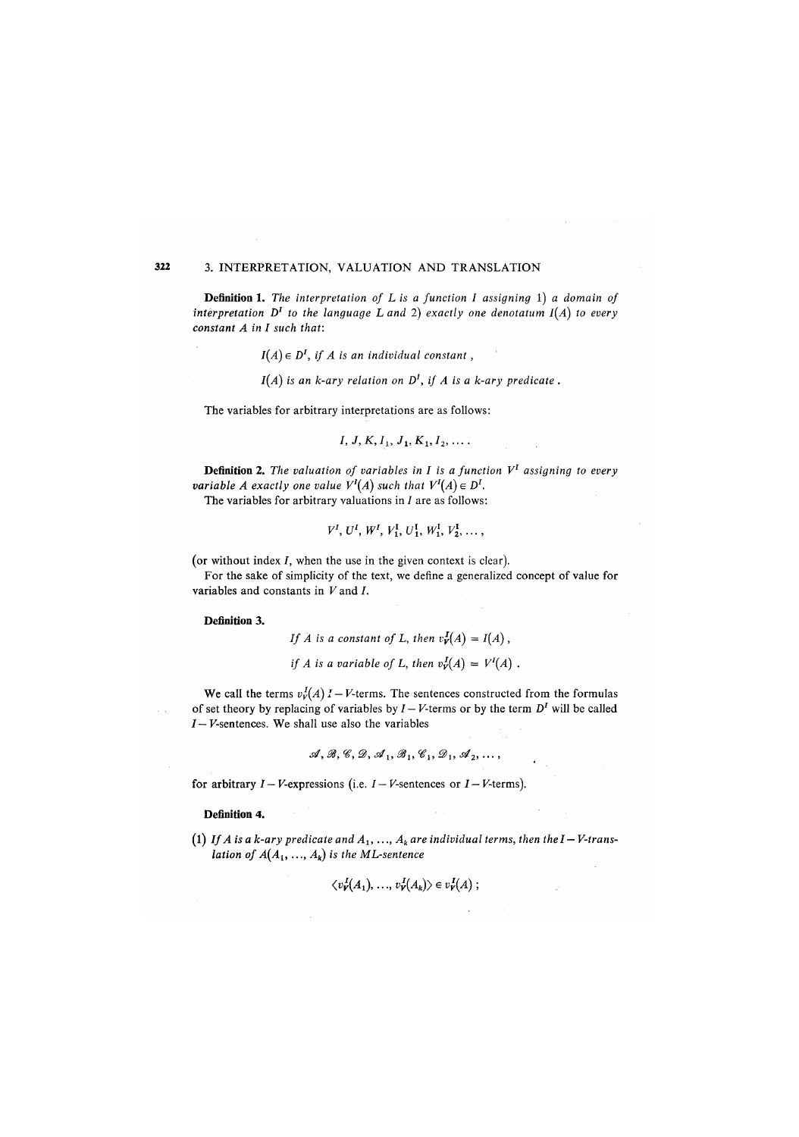# **322** 3. INTERPRETATION, VALUATION AND TRANSLATION

**Definition 1**. *Th*e *interpretation of L is a function I assigning* 1) *a domain of*  interpretation  $D^I$  to the language  $L$  and  $2)$  exactly one denotatum I(A) to every *constant A in I such that:* 

 $I(A) \in D<sup>I</sup>$ , if A is an individual constant,

*1(A) is an k-ary relation on D<sup>1</sup> , if A is a k-ary predicate.* 

The variables for arbitrary interpretations are as follows:

$$
I, J, K, I_1, J_1, K_1, I_2, \ldots
$$

**Definition 2**. *Th*e *valuation of variables in I is a function V<sup>1</sup> assigning to every variable A* exactly one value  $V^I(A)$  such that  $V^I(A) \in D^I$ .

The variables for arbitrary valuations in  $I$  are as follows:

$$
V^I, U^I, W^I, V_1^I, U_1^I, W_1^I, V_2^I, \ldots,
$$

(or without index  $I$ , when the use in the given context is clear).

For the sake of simplicity of the text, we define a generalized concept of value for variables and constants in *V* and /.

**Definition 3**.

*If A is a constant of L, then*  $v_{\mathbf{v}}^{\mathbf{I}}(A) = I(A)$ ,

*if A is a variable of L, then*  $v_Y^I(A) = V^I(A)$ .

We call the terms  $v_r^I(A)$  I – V-terms. The sentences constructed from the formulas of set theory by replacing of variables by  $I - V$ -terms or by the term  $D<sup>I</sup>$  will be called *I — V*-sentences. We shall use also the variables

$$
\mathcal{A}, \mathcal{B}, \mathcal{C}, \mathcal{D}, \mathcal{A}_1, \mathcal{B}_1, \mathcal{C}_1, \mathcal{D}_1, \mathcal{A}_2, \ldots,
$$

for arbitrary  $I - V$ -expressions (i.e.  $I - V$ -sentences or  $I - V$ -terms).

**Definition 4.** 

(1) If A is a k-ary predicate and  $A_1, \ldots, A_k$  are individual terms, then the I – V-trans*lation of*  $A(A_1, ..., A_k)$  *is the ML-sentence* 

$$
\langle v'_{\mathbf{V}}(A_1),\ldots,v'_{\mathbf{V}}(A_k)\rangle\in v'_{\mathbf{V}}(A);
$$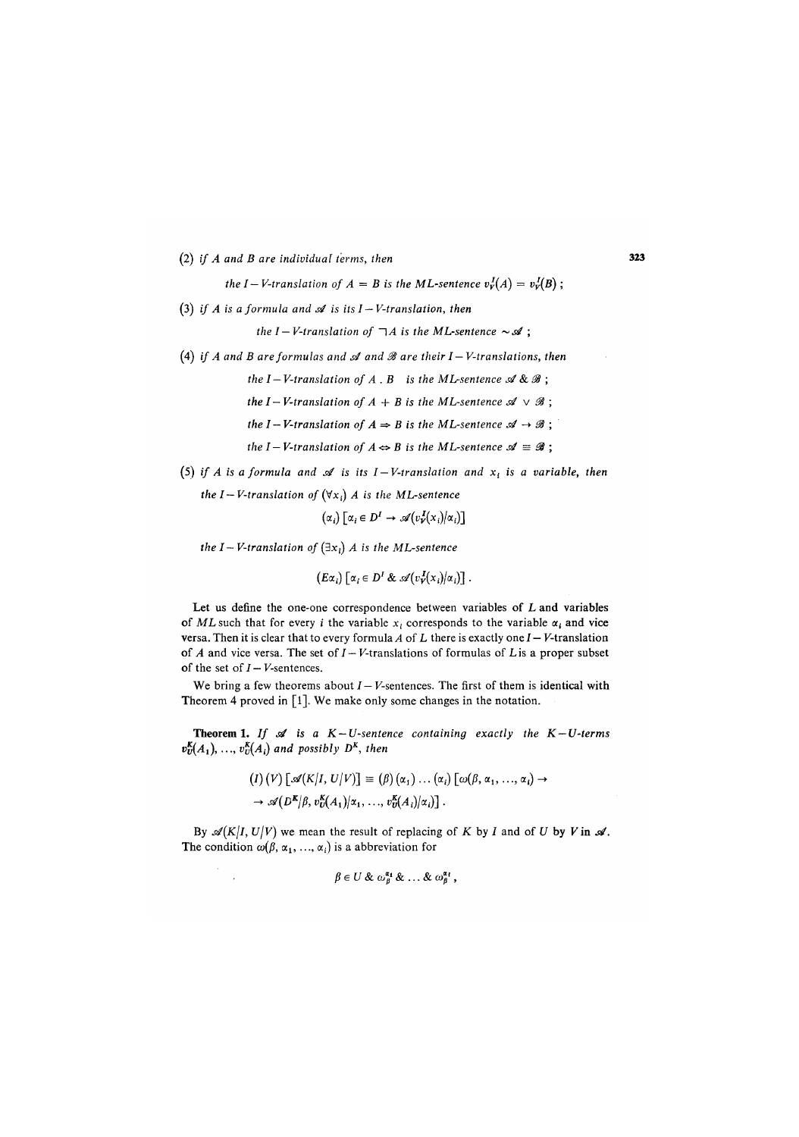*(*2) *if A and B are individual terms, then* 323

*the I – V-translation of A = B is the ML-sentence*  $v_Y^I(A) = v_Y^I(B)$ ;

(3) if A is a formula and  $\mathscr A$  is its  $I-V$ -translation, then

*the I – V-translation of*  $\lnot A$  *is the ML-sentence*  $\sim \mathcal{A}$ ;

- (4) if A and B are formulas and  $\mathcal A$  and  $\mathcal B$  are their  $I V$ -translations, then
	- *the I-V-translation of A.B is the ML-sentence*  $\mathcal{A} \& \mathcal{B}$ ;

*the I – V-translation of A + B is the ML-sentence*  $\mathcal{A} \vee \mathcal{B}$ ;

- *the I-V-translation of*  $A \Rightarrow B$  *is the ML-sentence*  $\mathcal{A} \rightarrow \mathcal{B}$ ;
- *the I V-translation of*  $A \Leftrightarrow B$  *is the ML-sentence*  $\mathcal{A} \equiv \mathcal{B}$ ;
- (5) if A is a formula and  $\mathscr A$  is its  $I-V$ -translation and  $x_t$  is a variable, then

the *I*–*V*-translation of 
$$
(\forall x_i)
$$
 *A* is the ML-sentence  

$$
(\alpha_i) [\alpha_i \in D^I \rightarrow \mathcal{A}(v^J_Y(x_i)|\alpha_i)]
$$

*the I – V-translation of*  $(\exists x_i)$  *A is the ML-sentence* 

$$
(E\alpha_i) [\alpha_i \in D^I \& \mathscr{A}(v^I_V(x_i)/\alpha_i)].
$$

Let us define the one-one correspondence between variables of L and variables of ML such that for every *i* the variable  $x_i$  corresponds to the variable  $\alpha_i$  and vice versa. Then it is clear that to every formula *A* of L there is exactly one J — *V*-translation of  $A$  and vice versa. The set of  $I - V$ -translations of formulas of  $L$  is a proper subset of the set of  $I - V$ -sentences.

We bring a few theorems about  $I - V$ -sentences. The first of them is identical with Theorem 4 proved in [1]. We make only some changes in the notation.

Theorem 1. If  $\mathcal A$  is a  $K-U$ -sentence containing exactly the  $K-U$ -terms  $v_{\text{U}}^{\text{K}}(A_1), \ldots, v_{\text{U}}^{\text{K}}(A_i)$  and possibly  $D^{\text{K}}$ , then

$$
(I) (V) [\mathscr{A}(K|I, U|V)] \equiv (\beta) (\alpha_1) \dots (\alpha_i) [\omega(\beta, \alpha_1, \dots, \alpha_i) \rightarrow
$$
  

$$
\rightarrow \mathscr{A}(D^K|\beta, v_D^K(A_1)|\alpha_1, \dots, v_D^K(A_i)|\alpha_i)].
$$

By  $\mathcal{A}(K|I, U|V)$  we mean the result of replacing of *K* by *I* and of *U* by *V* in  $\mathcal{A}$ . The condition  $\omega(\beta, \alpha_1, ..., \alpha_i)$  is a abbreviation for

$$
\beta\in U\ \&\ \omega_{\beta}^{\alpha_1}\ \&\ \ldots\ \&\ \omega_{\beta}^{\alpha_{\ell}}\ ,
$$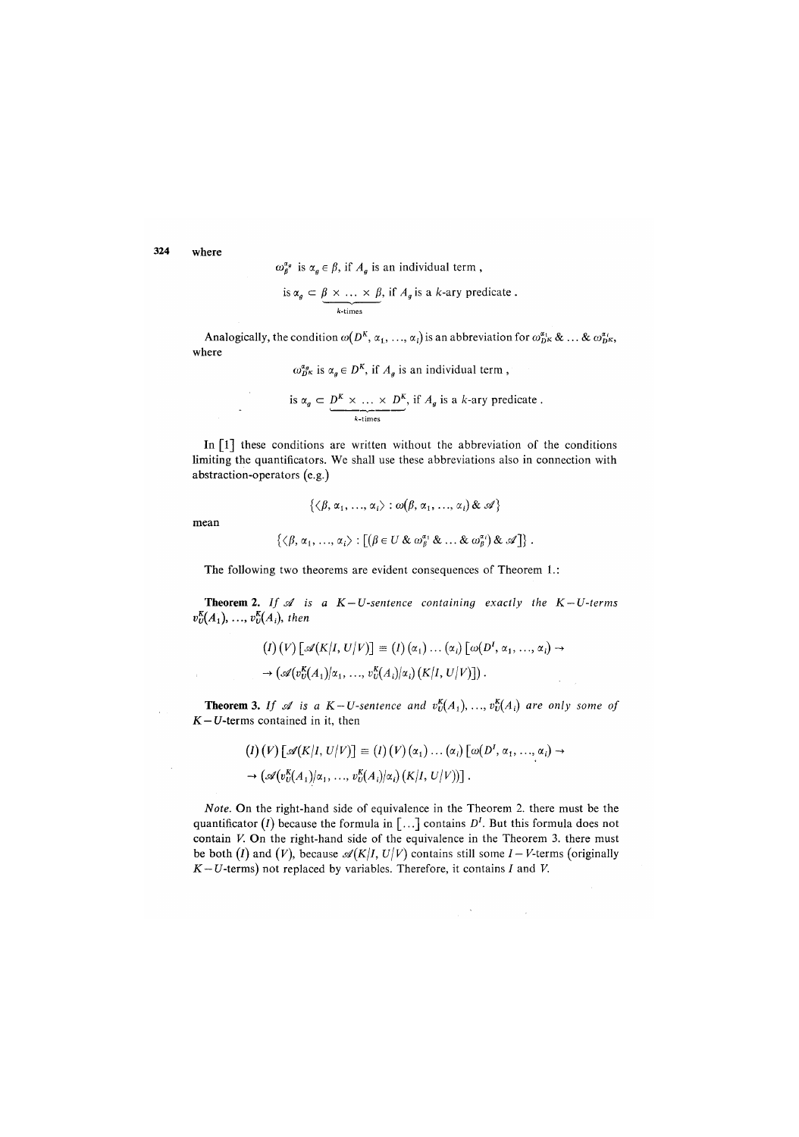**324** where

 $\omega_{\beta}^{\alpha_g}$  is  $\alpha_g \in \beta$ , if  $A_g$  is an individual term,

is 
$$
\alpha_g \subset \underbrace{\beta \times \ldots \times \beta}_{k\text{-times}}, \text{ if } A_g \text{ is a } k\text{-ary predicate.}
$$

Analogically, the condition  $\omega(D^K, \alpha_1, ..., \alpha_i)$  is an abbreviation for  $\omega_{D^K}^{a_i} \& \dots \& \omega_{D^K}^{a_i}$ , where

 $\omega_{D^K}^{a_g}$  is  $\alpha_g \in D^K$ , if  $A_g$  is an individual term,

is 
$$
\alpha_g \subset \underbrace{D^K \times \ldots \times D^K}_{k \text{-times}}
$$
, if  $A_g$  is a k-ary predicate.

In [1] these conditions are written without the abbreviation of the conditions limiting the quantificators. We shall use these abbreviations also in connection with abstraction-operators (e.g.)

 $\{\langle \beta, \alpha_1, \ldots, \alpha_i \rangle : \omega(\beta, \alpha_1, \ldots, \alpha_i) \&\mathcal{A} \}$ 

mean

$$
\{\langle \beta, \alpha_1, ..., \alpha_i \rangle : \big[(\beta \in U \& \omega_{\beta}^{\alpha_1} \& ... \& \omega_{\beta}^{\alpha_i}) \& \mathscr{A} \big] \} .
$$

The following two theorems are evident consequences of Theorem 1.:

**Theorem 2.** If  $\mathcal{A}$  is a  $K-U$ -sentence containing exactly the  $K-U$ -terms  $v_{\scriptscriptstyle U}^{\scriptscriptstyle K}(A_1),\, ..., \,v_{\scriptscriptstyle U}^{\scriptscriptstyle K}(A_i),\,$  then

$$
(I) (V) [\mathscr{A}(K|I, U|V)] \equiv (I) (\alpha_1) \dots (\alpha_i) [\omega(D^I, \alpha_1, \dots, \alpha_i) \rightarrow
$$
  

$$
\rightarrow (\mathscr{A}(v_U^K(A_1)|\alpha_1, \dots, v_U^K(A_i)|\alpha_i) (K|I, U|V)] ).
$$

**Theorem 3.** If  $\mathscr A$  is a  $K-U$ -sentence and  $v_{U}^{K}(A_1),...,v_{U}^{K}(A_i)$  are only some of *K—U*-terms contained in it, then

$$
(I) (V) [\mathscr{A}(K|I, U|V)] \equiv (I) (V) (\alpha_1) \dots (\alpha_i) [\omega(D^I, \alpha_1, \dots, \alpha_i) \rightarrow
$$
  

$$
\rightarrow (\mathscr{A}(v_0^K(A_1)|\alpha_1, \dots, v_0^K(A_i)|\alpha_i) (K|I, U|V))].
$$

Note. On the right-hand side of equivalence in the Theorem 2. there must be the quantificator (*I*) because the formula in  $[\dots]$  contains  $D<sup>I</sup>$ . But this formula does not contain *V.* On the right-hand side of the equivalence in the Theorem 3. there must be both (I) and (V), because  $\mathcal{A}(K|I, U|V)$  contains still some  $I - V$ -terms (originally  $K-U$ -terms) not replaced by variables. Therefore, it contains  $I$  and  $V$ .

 $\sim 100$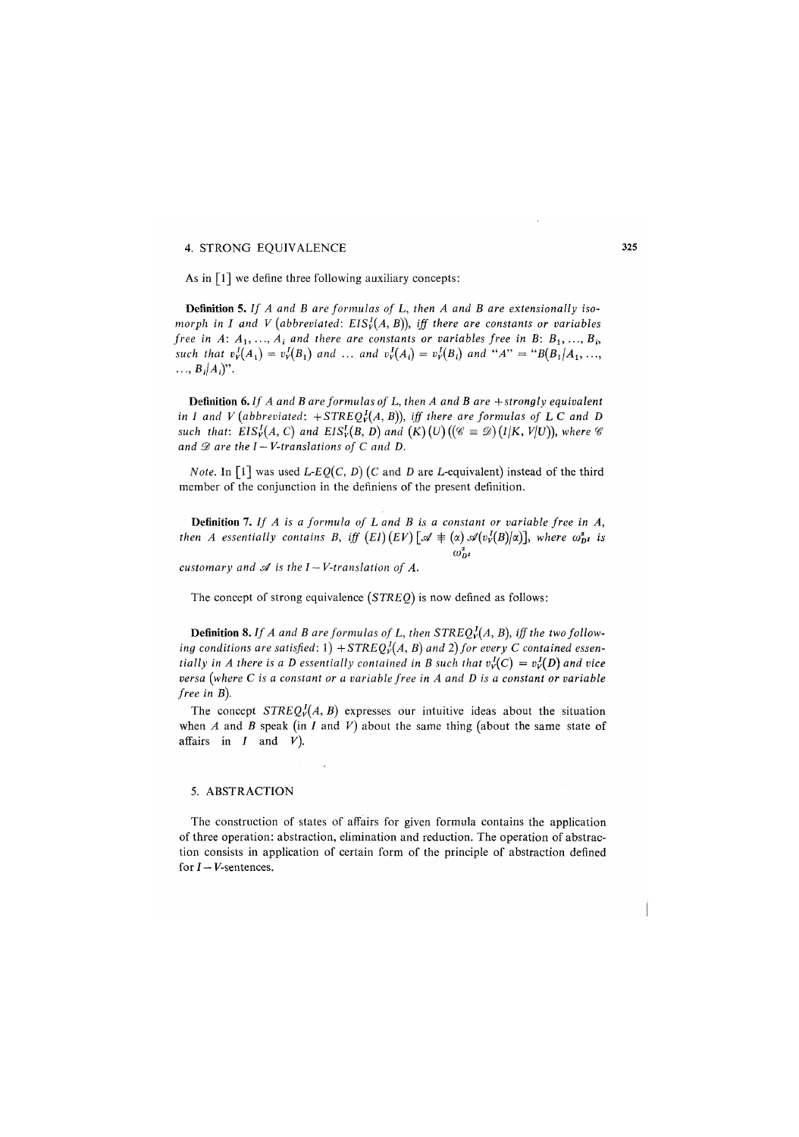## 4. STRONG EQUIVALENCE

As in  $\lceil 1 \rceil$  we define three following auxiliary concepts:

**Defini**t**ion** 5. *If A and B are formulas of L, then A and B are extensionally isomorph in I and V (abbreviated: EIS*<sup>*I*</sup>(*A, B*)), *iff there are constants or variables free in A: A*<sub>1</sub>, ...,  $A_i$  and there are constants or variables free in B: B<sub>1</sub>, ..., B<sub>i</sub> *such that*  $v_Y^I(A_1) = v_Y^I(B_1)$  and ... and  $v_Y^I(A_i) = v_Y^I(B_i)$  and " $A$ " = " $B(B_1|A_1, ..., A_n|A_n)$ ".

**Definition** *6. If A and B are formulas of L, then A and B are + strongly equivalent in I and V (abbreviated:*  $+STREQ<sub>V</sub><sup>I</sup>(A, B)$ ), *iff there are formulas of L C and D such that: EIS*<sup>*I*</sup>(*A, C)* and EIS<sup>*I*</sup><sub>*V*</sub>(*B, D)* and (*K)*(*U)*(( $\mathscr{C} \equiv \mathscr{D}$ )(*I*|*K, V*|*U*)), where  $\mathscr{C}$ and  $\mathscr D$  are the  $I - V$ -translations of  $C$  and  $D$ .

*Note.* In [1] was used *L-EQ(C, D)* (*C* and *D* are *L*-equivalent) instead of the third member of the conjunction in the defmiens of the present definition.

**Definition 7.** If A is a formula of L and B is a constant or variable free in A, *then A essentially contains B, iff*  $(EI)(EV)$  $\lceil \mathcal{A} \rceil \neq (\alpha) \mathcal{A}(v_Y^I(B)/\alpha)\rceil$ *, where*  $\omega_{DI}^{\alpha}$  *is*  $\omega_D^{\alpha}$ 

*customary and s4 is the I ~ V-translation of A.* 

The concept of strong equivalence *(STREQ)* is now defined as follows:

**Definition 8.** If A and B are formulas of L, then  $\text{STREQ}_V^I(A, B)$ , iff the two following conditions are satisfied: 1)  $+ \text{STREQ}_V^I(A, B)$  and 2) for every C contained essen*tially in A there is a D essentially contained in B such that*  $v_r^I(C) = v_r^I(D)$  *and vice versa (where C is a constant or a variable free in A and D is a constant or variable free in B).* 

The concept  $STREQ<sub>V</sub><sup>J</sup>(A, B)$  expresses our intuitive ideas about the situation when  $A$  and  $B$  speak (in  $I$  and  $V$ ) about the same thing (about the same state of affairs in / and *V).* 

#### *5.* ABSTRACTION

The construction of states of affairs for given formula contains the application of three operation: abstraction, elimination and reduction. The operation of abstraction consists in application of certain form of the principle of abstraction defined for  $I - V$ -sentences.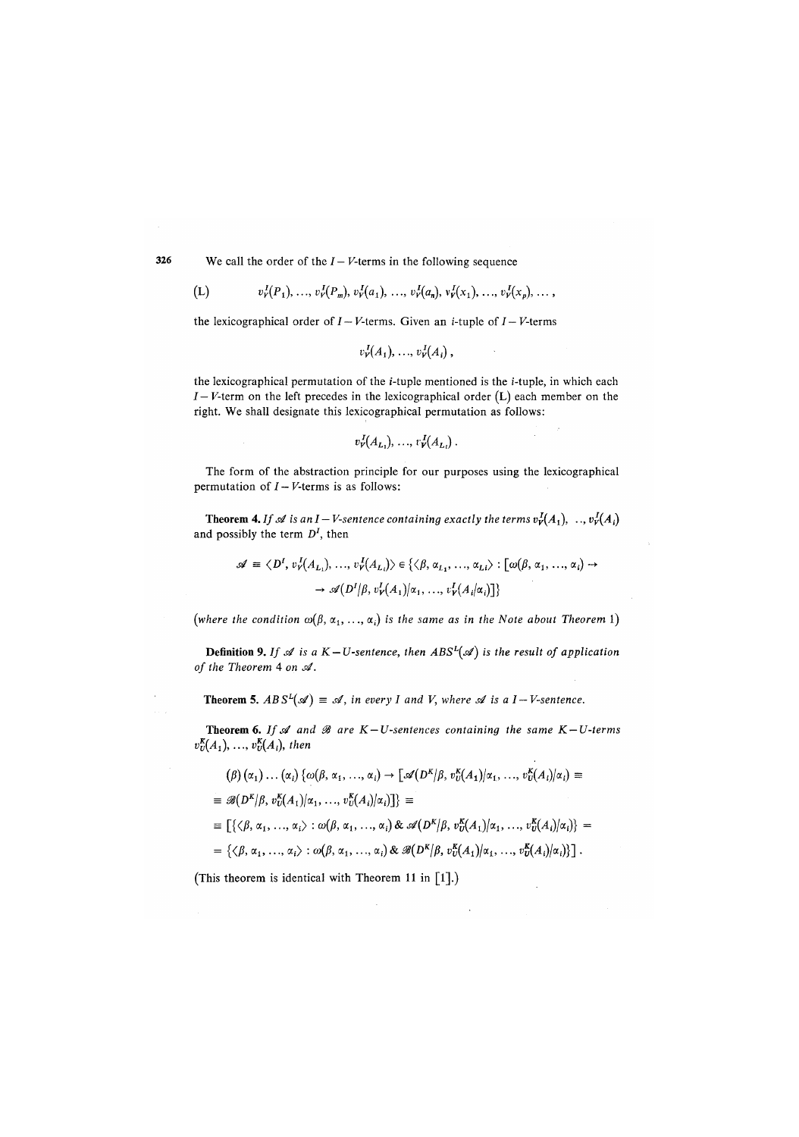326 We call the order of the  $I - V$ -terms in the following sequence

$$
(L) \t vVI(P1),...,vVI(Pm),vVI(a1),...,vVI(an),vVI(x1),...,vVI(xp),...,
$$

the lexicographical order of  $I - V$ -terms. Given an *i*-tuple of  $I - V$ -terms

$$
v_{V}^{I}(A_1),...,v_{V}^{I}(A_i),
$$

the lexicographical permutation of the i-tuple mentioned is the i-tuple, in which each /— *V*-term on the left precedes in the lexicographical order (L) each member on the right. We shall designate this lexicographical permutation as follows:

$$
v_{V}^{I}(A_{L_1}),\ldots,v_{V}^{I}(A_{L_i}).
$$

The form of the abstraction principle for our purposes using the lexicographical permutation of  $I-V$ -terms is as follows:

**Theorem 4.** If  $\mathscr A$  is an I – V-sentence containing exactly the terms  $v^I_Y(A_1), \ldots, v^I_Y(A_i)$ and possibly the term *D<sup>1</sup> ,* then

$$
\mathscr{A} \equiv \langle D^I, v_r^J(A_{L_1}), \dots, v_r^J(A_{L_i}) \rangle \in \{ \langle \beta, \alpha_{L_1}, \dots, \alpha_{L_i} \rangle : [\omega(\beta, \alpha_1, \dots, \alpha_i) \rightarrow \neg \mathscr{A} (D^I | \beta, v_r^J(A_1) | \alpha_1, \dots, v_r^J(A_i | \alpha_i)] \}
$$

(where the condition  $\omega(\beta, \alpha_1, \ldots, \alpha_i)$  is the same as in the Note about Theorem 1)

**Definition 9.** If  $\mathscr A$  is a  $K - U$ -sentence, then  $ABS^L(\mathscr A)$  is the result of application *of the Theorem* **4** *on si'.* 

**Theorem 5.**  $ABS^{L}(\mathscr{A}) \equiv \mathscr{A}$ , in every I and V, where  $\mathscr{A}$  is a I-V-sentence.

**Theorem 6.** If  $A$  and  $B$  are  $K-U$ -sentences containing the same  $K-U$ -terms  $v_{U}^{K}(A_1), \ldots, v_{U}^{K}(A_i)$ , then

$$
(\beta)(\alpha_1) \dots (\alpha_i) \{ \omega(\beta, \alpha_1, \dots, \alpha_i) \rightarrow [\mathscr{A}(D^K|\beta, v_0^K(A_1)|\alpha_1, \dots, v_0^K(A_i)|\alpha_i) \equiv
$$
  
\n
$$
\equiv \mathscr{B}(D^K|\beta, v_0^K(A_1)|\alpha_1, \dots, v_0^K(A_i)|\alpha_i)] \} \equiv
$$
  
\n
$$
\equiv [\{\langle \beta, \alpha_1, \dots, \alpha_i \rangle : \omega(\beta, \alpha_1, \dots, \alpha_i) \& \mathscr{A}(D^K|\beta, v_0^K(A_1)|\alpha_1, \dots, v_0^K(A_i)|\alpha_i) \} =
$$
  
\n
$$
= \{\langle \beta, \alpha_1, \dots, \alpha_i \rangle : \omega(\beta, \alpha_1, \dots, \alpha_i) \& \mathscr{B}(D^K|\beta, v_0^K(A_1)|\alpha_1, \dots, v_0^K(A_i)|\alpha_i) \}].
$$

(This theorem is identical with Theorem 11 in [1].)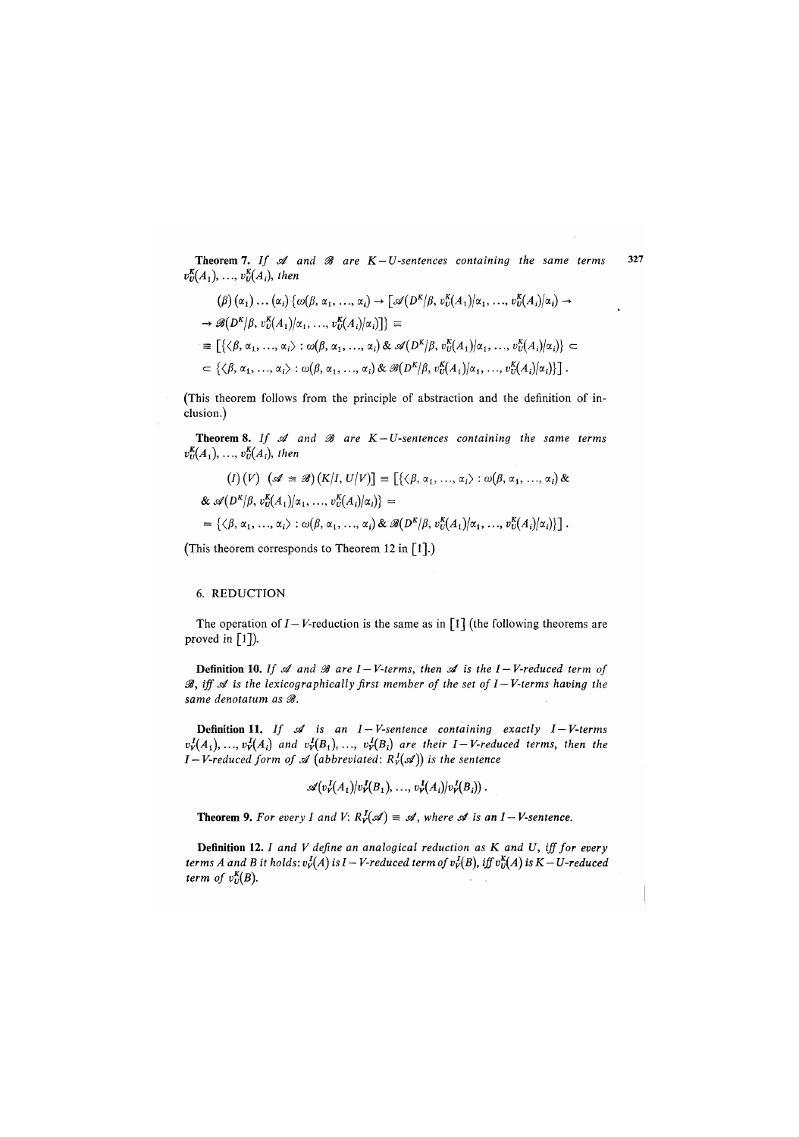**Theorem 7.** If  $\mathcal A$  and  $\mathcal B$  are K-U-sentences containing the same terms 327  $v^{\text{K}}_{\text{U}}(A_1),...,v^{\text{K}}_{\text{U}}(A_i)$ , then

$$
(\beta) (\alpha_1) \dots (\alpha_i) {\varphi(\beta, \alpha_1, \dots, \alpha_i)} \rightarrow [\mathscr{A}(D^K | \beta, v_0^K(A_1) | \alpha_1, \dots, v_0^K(A_i) | \alpha_i) \rightarrow
$$
  
\n
$$
\rightarrow \mathscr{B}(D^K | \beta, v_0^K(A_1) | \alpha_1, \dots, v_0^K(A_i) | \alpha_i)]
$$
  
\n
$$
\equiv [\{\langle \beta, \alpha_1, \dots, \alpha_i \rangle : \omega(\beta, \alpha_1, \dots, \alpha_i) \& \mathscr{A}(D^K | \beta, v_0^K(A_1) | \alpha_1, \dots, v_0^K(A_i) | \alpha_i) \} \subset
$$
  
\n
$$
\subset \{\langle \beta, \alpha_1, \dots, \alpha_i \rangle : \omega(\beta, \alpha_1, \dots, \alpha_i) \& \mathscr{B}(D^K | \beta, v_0^K(A_1) | \alpha_1, \dots, v_0^K(A_i) | \alpha_i) \}].
$$

(This theorem follows from the principle of abstraction and the definition of inclusion.)

**Theorem 8.** If  $\mathcal A$  and  $\mathcal B$  are  $K-U$ -sentences containing the same terms  $v_{U}^{K}(A_{1}), ..., v_{U}^{K}(A_{i}),$  then

$$
(I) (V) \quad (\mathscr{A} \equiv \mathscr{B}) (K|I, U|V)] \equiv \left[ \{ \langle \beta, \alpha_1, \ldots, \alpha_i \rangle : \omega(\beta, \alpha_1, \ldots, \alpha_i) \& \\ \& \mathscr{A}(D^K|\beta, v_0^K(A_1)|\alpha_1, \ldots, v_U^K(A_i)|\alpha_i) \right\} =
$$

$$
= \{ \langle \beta, \alpha_1, \ldots, \alpha_i \rangle : \omega(\beta, \alpha_1, \ldots, \alpha_i) \& \mathscr{B}(D^K|\beta, v_U^K(A_1)|\alpha_1, \ldots, v_U^K(A_i)|\alpha_i) \} \right].
$$

(This theorem corresponds to Theorem 12 in  $[1]$ .)

#### 6. REDUCTION

The operation of  $I - V$ -reduction is the same as in  $\lceil 1 \rceil$  (the following theorems are proved in  $\lceil 1 \rceil$ ).

**Defini**t**ion 10**. *If s4 and 38 are I—V-terms, then si is the I — V-reduced term of*   $\mathcal{B}$ , iff  $\mathcal A$  is the lexicographically first member of the set of  $I-V$ -terms having the *same denotatum as 38.* 

**Defini**t**ion 11.** *If si is an I—V-sentence containing exactly I—V-terms*   $v_r^I(A_1),..., v_r^I(A_i)$  and  $v_r^I(B_1),..., v_r^I(B_i)$  are their I-V-reduced terms, then the *I*-*V-reduced form of*  $\mathcal{A}$  *(abbreviated:*  $R_v^I(\mathcal{A})$ *) is the sentence* 

$$
\mathscr{A}(v_{V}^{I}(A_1)/v_{V}^{I}(B_1),\ldots,v_{V}^{I}(A_i)/v_{V}^{I}(B_i))\ .
$$

**Theorem 9.** For every I and V:  $R_v^I(\mathcal{A}) \equiv \mathcal{A}$ , where  $\mathcal{A}$  is an I-V-sentence.

**Definition 12.** *I and V define an analogical reduction as K and U, iff for every terms A and B it holds:*  $v_r^I(A)$  is  $I - V$ -reduced term of  $v_r^I(B)$ , iff  $v_0^K(A)$  is  $K - U$ -reduced *term of*  $v_U^K(B)$ *.*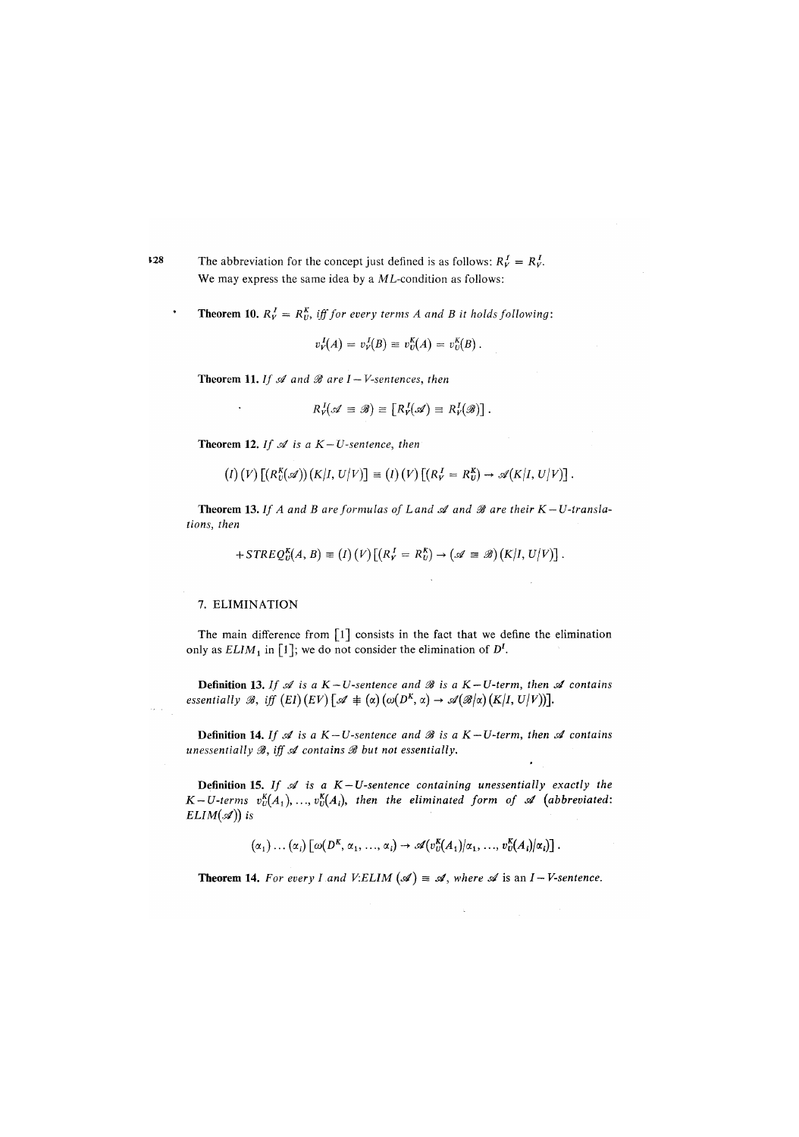The abbreviation for the concept just defined is as follows:  $R_V^I = R_V^I$ . We may express the same idea by a *ML*-condition as follows:

**Theorem 10.**  $R_V^I = R_V^K$ , iff for every terms A and B it holds following:

$$
v_V^I(A) = v_V^I(B) \equiv v_U^K(A) = v_U^K(B).
$$

**Theorem 11.** *If*  $\mathcal A$  and  $\mathcal B$  are  $I - V$ -sentences, then

$$
R_V^I(\mathscr{A} \equiv \mathscr{B}) \equiv [R_V^I(\mathscr{A}) \equiv R_V^I(\mathscr{B})].
$$

**Theorem 12.** If  $\mathcal A$  is a  $K-U$ -sentence, then

$$
(I) (V) [(R_U^K(\mathscr{A}))(K/I, U/V)] \equiv (I) (V) [(R_V^I = R_U^K) \rightarrow \mathscr{A}(K/I, U/V)].
$$

**Theorem 13.** If A and B are formulas of Land  $\mathscr A$  and  $\mathscr B$  are their  $K-U$ -transla*tions, then* 

$$
+STREQ_{U}^{K}(A, B) \equiv (I)(V)[(R_{V}^{I} = R_{U}^{K}) \rightarrow (\mathscr{A} \equiv \mathscr{B})(K|I, U|V)].
$$

#### 7. ELIMINATION

The main difference from  $[1]$  consists in the fact that we define the elimination only as  $ELIM_1$  in  $\lceil 1 \rceil$ ; we do not consider the elimination of  $D^I$ .

**Definition 13.** If  $\mathcal A$  is a  $K-U$ -sentence and  $\mathcal B$  is a  $K-U$ -term, then  $\mathcal A$  contains  $e$ ssentially  $\mathscr{B}$ , iff  $(EI)$   $(EV)$   $[\mathscr{A} \, \neq\, (\alpha)\, (\omega(D^K,\,\alpha) \to \mathscr{A}(\mathscr{B}/\alpha)\, (K|I,\,U/V))]$ .

**Definition 14.** If  $\mathcal A$  is a  $K-U$ -sentence and  $\mathcal B$  is a  $K-U$ -term, then  $\mathcal A$  contains *unessentially 33, iff si contains 33 but not essentially.* 

**Definition 15.** *If*  $\mathcal{A}$  *is a K-U-sentence containing unessentially exactly the K* – *U*-terms  $v_{U}^{K}(A_1), ..., v_{U}^{K}(A_i)$ , then the eliminated form of  $\mathscr A$  (abbreviated: *ELIM* $(\mathcal{A})$ *)* is

 $(\alpha_1) \ldots (\alpha_i) [\omega(D^K, \alpha_1, \ldots, \alpha_i) \to \mathscr{A}(v_0^K(A_1)/\alpha_1, \ldots, v_U^K(A_i)/\alpha_i)].$ 

**Theorem 14.** For every I and V:ELIM  $(\mathcal{A}) \equiv \mathcal{A}$ , where  $\mathcal{A}$  is an I – V-sentence.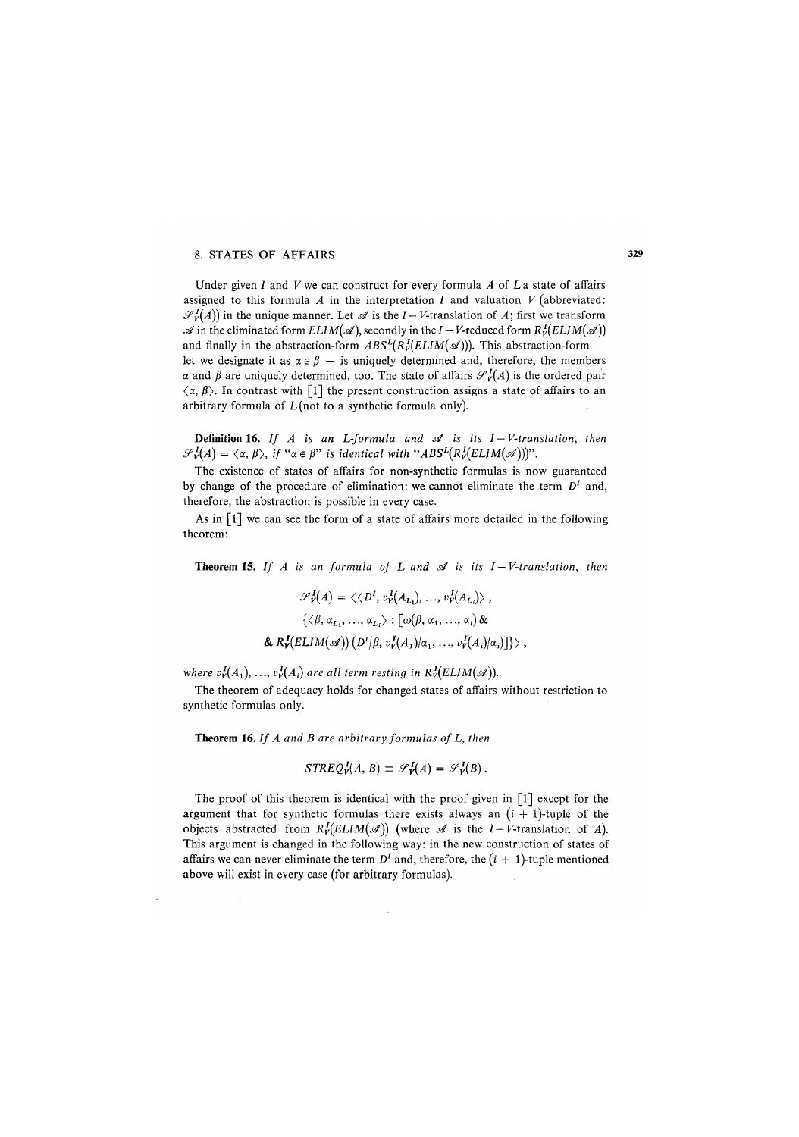#### 8. STATES OF AFFAIRS

Under given *I* and *V* we can construct for every formula *A* of *L* a state of affairs assigned to this formula *A* in the interpretation *I* and valuation *V (*abbreviated:  $\mathcal{S}_V^I(A)$  in the unique manner. Let  $\mathcal A$  is the *I* – *V*-translation of *A*; first we transform  $\mathscr A$  in the eliminated form  $ELIM(\mathscr A)$ , secondly in the *I* – *V*-reduced form  $R_v^I(ELIM(\mathscr A))$ and finally in the abstraction-form  $ABS^{L}(R_{V}^{I}(ELIM(\mathscr{A})))$ . This abstraction-form let we designate it as  $\alpha \in \beta$  – is uniquely determined and, therefore, the members  $\alpha$  and  $\beta$  are uniquely determined, too. The state of affairs  $\mathcal{S}_{\nu}^{I}(A)$  is the ordered pair  $\langle \alpha, \beta \rangle$ . In contrast with [1] the present construction assigns a state of affairs to an arbitrary formula of  $L$  (not to a synthetic formula only).

**Definition 16.** If  $A$  is an L-formula and  $A$  is its  $I-V$ -translation, then  $\mathscr{S}'_V(A) = \langle \alpha, \beta \rangle$ , *if "* $\alpha \in \beta$ " *is identical with "ABS<sup>L</sup>*( $R_V^I(ELIM(\mathscr{A})))$ ".

The existence of states of affairs for non-synthetic formulas is now guaranteed by change of the procedure of elimination: we cannot eliminate the term  $D<sup>I</sup>$  and, therefore, the abstraction is possible in every case.

As in [1] we can see the form of a state of affairs more detailed in the following theorem:

Theorem 15. If  $A$  is an formula of  $L$  and  $A$  is its  $I-V$ -translation, then

$$
\mathscr{S}_{\mathcal{V}}^{I}(A) = \langle \langle D^{I}, v_{\mathcal{V}}^{I}(A_{L_{1}}), \ldots, v_{\mathcal{V}}^{I}(A_{L_{i}}) \rangle ,
$$

$$
\langle \langle \beta, \alpha_{L_{1}}, \ldots, \alpha_{L_{i}} \rangle : [\omega(\beta, \alpha_{1}, \ldots, \alpha_{i}) \&
$$

$$
\& R_{\mathcal{V}}^{I}(ELIM(\mathscr{A})) (D^{I}|\beta, v_{\mathcal{V}}^{I}(A_{1})|\alpha_{1}, \ldots, v_{\mathcal{V}}^{I}(A_{i})|\alpha_{i}) ] \rangle ,
$$

*where*  $v^I_V(A_1), \ldots, v^I_V(A_i)$  *are all term resting in*  $R^I_V(ELIM(\mathcal{A}))$ *.* 

The theorem of adequacy holds for changed states of affairs without restriction to synthetic formulas only.

Theorem 16. *If A and B are arbitrary formulas of L, then* 

$$
STREQ_{V}^{I}(A, B) \equiv \mathcal{S}_{V}^{I}(A) = \mathcal{S}_{V}^{I}(B).
$$

The proof of this theorem is identical with the proof given in  $\lceil 1 \rceil$  except for the argument that for synthetic formulas there exists always an  $(i + 1)$ -tuple of the objects abstracted from  $R^I_V(ELIM(\mathcal{A}))$  (where  $\mathcal A$  is the *I – V*-translation of *A*). This argument is changed in the following way: in the new construction of states of affairs we can never eliminate the term  $D<sup>I</sup>$  and, therefore, the  $(i + 1)$ -tuple mentioned above will exist in every case (for arbitrary formulas).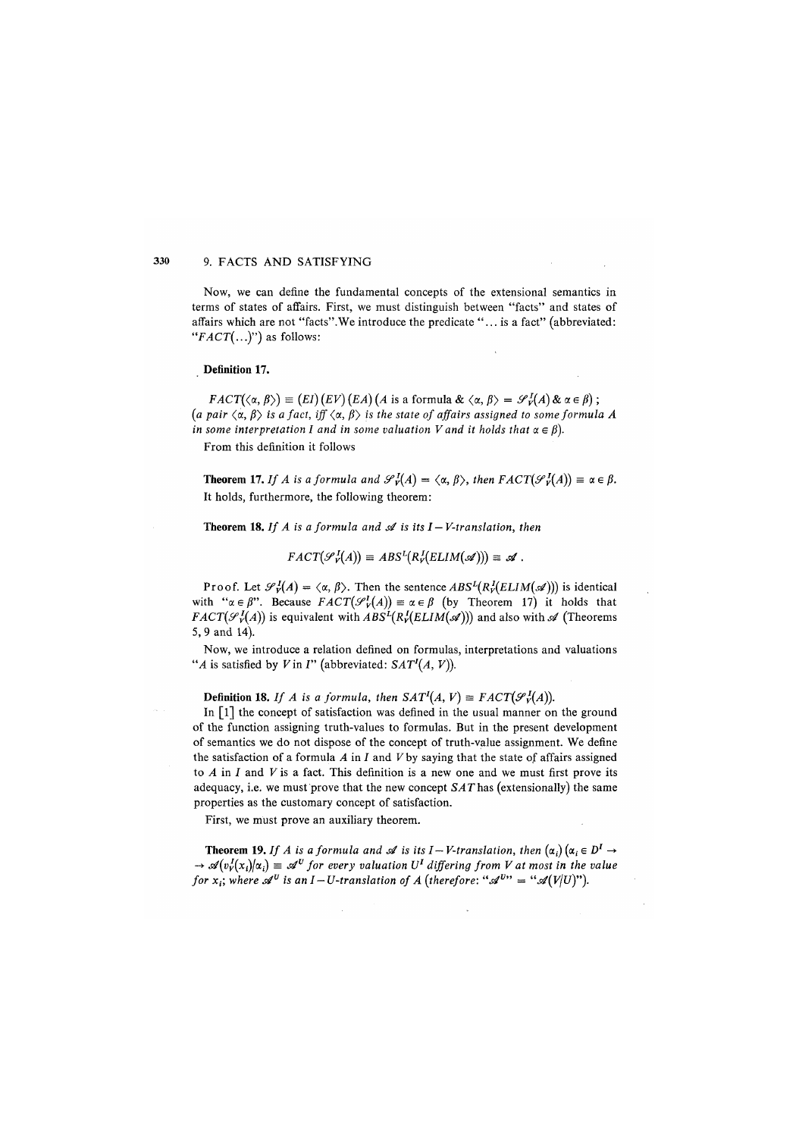#### 330 9. FACTS AND SATISFYING

Now, we can define the fundamental concepts of the extensional semantics in terms of states of affairs. First, we must distinguish between "facts" and states of affairs which are not "facts".We introduce the predicate ".. . is a fact" (abbreviated: *"FACT(...)")* as follows:

#### **Definition 17***.*

 $FACT(\langle \alpha, \beta \rangle) \equiv (EI) (EV) (EA) (A \text{ is a formula } \& \langle \alpha, \beta \rangle = \mathcal{S}_V^I(A) \& \alpha \in \beta);$  $(a$  pair  $\langle \alpha, \beta \rangle$  is a fact, iff  $\langle \alpha, \beta \rangle$  is the state of affairs assigned to some formula A *in some interpretation I and in some valuation V and it holds that*  $\alpha \in \beta$ ).

From this definition it follows

**Theorem 17.** If A is a formula and  $\mathscr{S}_{\mathbf{v}}^I(A) = \langle \alpha, \beta \rangle$ , then  $FACT(\mathscr{S}_{\mathbf{v}}^I(A)) \equiv \alpha \in \beta$ . It holds, furthermore, the following theorem:

**Theorem 18.** If A is a formula and  $\mathcal A$  is its  $I - V$ -translation, then

$$
FACT(\mathscr{S}_{V}^{I}(A)) \equiv ABS^{L}(R_{V}^{I}(ELIM(\mathscr{A}))) \equiv \mathscr{A}.
$$

Proof. Let  $\mathscr{S}_V^I(A) = \langle \alpha, \beta \rangle$ . Then the sentence  $ABS^I(R_V^I(ELIM(\mathscr{A})))$  is identical with " $\alpha \in \beta$ ". Because  $FACT(\mathcal{S}_{\gamma}^I(A)) \equiv \alpha \in \beta$  (by Theorem 17) it holds that *FACT*( $\mathcal{F}_V^I(A)$ ) is equivalent with  $ABS^I(R^I_V(ELIM(\mathcal{A})))$  and also with  $\mathcal{A}$  (Theorems 5, 9 and 14).

Now, we introduce a relation defined on formulas, interpretations and valuations "*A* is satisfied by *V* in *I*" (abbreviated:  $SAT<sup>I</sup>(A, V)$ ).

**Definition 18.** *If A is a formula, then*  $SAT<sup>I</sup>(A, V) \equiv FACT(\mathcal{S}_{V}^{I}(A))$ .

In  $\lceil 1 \rceil$  the concept of satisfaction was defined in the usual manner on the ground of the function assigning truth-values to formulas. But in the present development of semantics we do not dispose of the concept of truth-value assignment. We define the satisfaction of a formula *A* in J and *V* by saying that the state of affairs assigned to *A* in 7 **an**d *V* is a fact. This definition is a new one and we must first prove its adequacy, i.e. we must prove that the new concept S*AT* has (extensionally) the same properties as the customary concept of satisfaction.

First, we must prove an auxiliary theorem.

**Theorem 19.** If A is a formula and  $\mathscr A$  is its I-V-translation, then  $(\alpha_i)$   $(\alpha_i \in D^I \to$  $\rightarrow \mathscr{A}(v^I_V(x_i)|\alpha_i) \equiv \mathscr{A}^U$  for every valuation U<sup>*I*</sup> differing from V at most in the value *for*  $x_i$ ; where  $\mathscr{A}^U$  is an *I* – *U*-translation of *A* (therefore: " $\mathscr{A}^{U^{**}} =$  " $\mathscr{A}(V|U)^{**}$ ).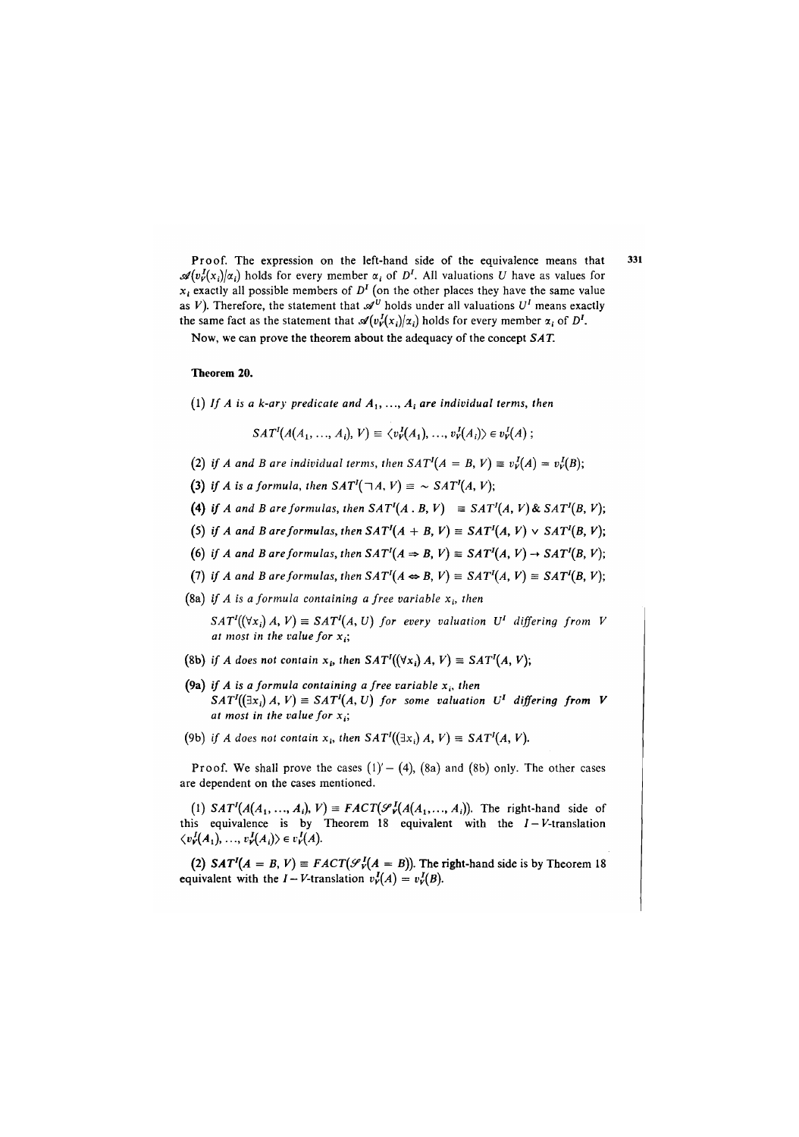Proof. The expression on the left-hand side of the equivalence means that 331  $\mathscr{A}(v_{\nu}^{I}(x_{i})/\alpha_{i})$  holds for every member  $\alpha_{i}$  of  $D^{I}$ . All valuations *U* have as values for *xt* exactly all possible members of *D'* (on the other places they have the same value as *V*). Therefore, the statement that  $\mathscr{A}^U$  holds under all valuations  $U^I$  means exactly the same fact as the statement that  $\mathcal{A}(v_{V}^{I}(x_{i})|x_{i})$  holds for every member  $\alpha_{i}$  of  $D^{I}$ .

Now, we can prove the theorem about the adequacy of the concept *SAT.* 

#### Theorem 20.

(1) If A is a k-ary predicate and  $A_1, \ldots, A_i$  are individual terms, then

$$
SAT1(A(A1,..., Ai), V) \equiv \langle vV1(A1), ..., vV1(Ai)\rangle \in vV1(A);
$$

- (2) if A and B are individual terms, then  $SAT<sup>1</sup>(A = B, V) \equiv v<sub>V</sub><sup>1</sup>(A) = v<sub>V</sub><sup>1</sup>(B)$ ;
- (3) if *A* is a formula, then  $SAT<sup>1</sup>(\neg A, V) = \sim SAT<sup>1</sup>(A, V);$
- **(4)** *if A and B are formulas, then*  $SAT^1(A, B, V) \equiv SAT^1(A, V) \& SAT^1(B, V);$
- (5) if A and B are formulas, then  $SAT<sup>I</sup>(A + B, V) \equiv SAT<sup>I</sup>(A, V) \vee SAT<sup>I</sup>(B, V);$
- (6) if A and B are formulas, then  $SAT^I(A \Rightarrow B, V) \equiv SAT^I(A, V) \rightarrow SAT^I(B, V);$
- (7) if A and B are formulas, then  $SAT<sup>T</sup>(A \Leftrightarrow B, V) \equiv SAT<sup>T</sup>(A, V) \equiv SAT<sup>T</sup>(B, V);$
- (8a) if A is a formula containing a free variable  $x_i$ , then

 $SAT<sup>I</sup>((\forall x_i) A, V) \equiv SAT<sup>I</sup>(A, U)$  for every valuation U<sup>I</sup> differing from V *at most in the value for x(;* 

- (8b) if A does not contain  $x_i$ , then  $SAT<sup>I</sup>((\forall x_i) A, V) \equiv SAT<sup>I</sup>(A, V);$
- (9a) if A is a formula containing a free variable  $x_i$ , then  $SAT<sup>I</sup>((\exists x_i) A, V) \equiv SAT<sup>I</sup>(A, U)$  for some valuation  $U<sup>I</sup>$  differing from V *at most in the value for xt;*
- (9b) if A does not contain  $x_i$ , then  $SAT<sup>t</sup>((\exists x_i) A, V) \equiv SAT<sup>t</sup>(A, V)$ .

Proof. We shall prove the cases  $(1) - (4)$ ,  $(8a)$  and  $(8b)$  only. The other cases are dependent on the cases mentioned.

(1)  $SAT<sup>1</sup>(A(A<sub>1</sub>,...,A<sub>i</sub>),V) \equiv FACT(\mathcal{S}_{V}^{I}(A(A<sub>1</sub>,...,A<sub>i</sub>)).$  The right-hand side of this equivalence is by Theorem 18 equivalent with the  $I - V$ -translation  $\langle v_Y^I(A_1),...,v_Y^I(A_i)\rangle \in v_Y^I(A).$ 

(2)  $SAT<sup>t</sup>(A = B, V) \equiv FACT(\mathcal{S}_{V}^{t}(A = B))$ . The right-hand side is by Theorem 18 equivalent with the  $I - V$ -translation  $v_V^I(A) = v_V^I(B)$ .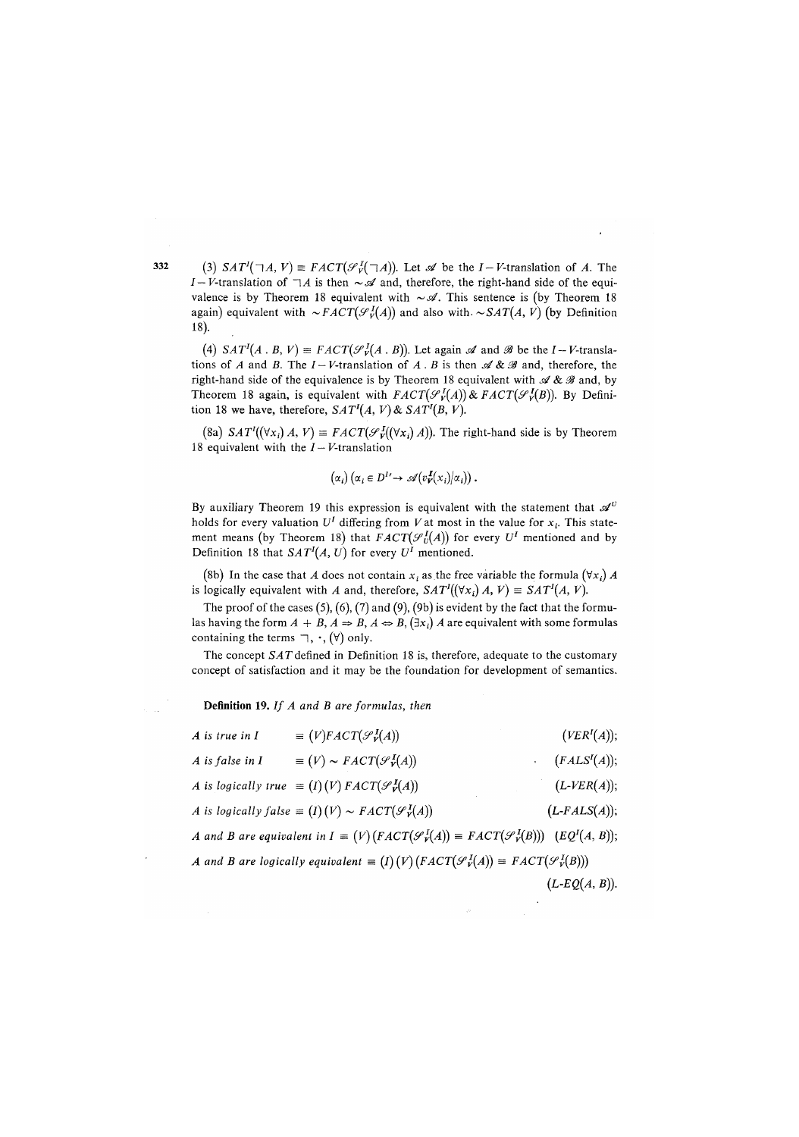(3)  $SAT<sup>I</sup>(\exists A, V) \equiv FACT(\mathcal{S}_{V}^{I}(\exists A))$ . Let  $\mathcal{A}$  be the *I* - *V*-translation of *A*. The *I-V*-translation of  $\neg A$  is then  $\sim \mathcal{A}$  and, therefore, the right-hand side of the equivalence is by Theorem 18 equivalent with  $\sim \mathcal{A}$ . This sentence is (by Theorem 18 again) equivalent with  $\sim$  *FACT*( $\mathcal{S}_{\nu}^{I}(A)$ ) and also with.  $\sim$  *SAT*(*A*, *V*) (by Definition 18).

(4)  $SAT<sup>T</sup>(A \cdot B, V) \equiv FACT(\mathcal{S}_V^T(A \cdot B))$ . Let again  $\mathcal A$  and  $\mathcal B$  be the *I* - *V*-translations of *A* and *B*. The  $I - V$ -translation of *A* . *B* is then  $\mathscr{A}$  &  $\mathscr{B}$  and, therefore, the right-hand side of the equivalence is by Theorem 18 equivalent with  $\mathscr{A} \& \mathscr{B}$  and, by Theorem 18 again, is equivalent with  $FACT(\mathcal{S}_{V}^{I}(A))$ &*FACT*( $\mathcal{S}_{V}^{I}(B)$ ). By Definition 18 we have, therefore,  $SAT<sup>I</sup>(A, V)$  &  $SAT<sup>I</sup>(B, V)$ .

(8a)  $SAT'((\forall x_i) \land, V) = FACT(\mathcal{F}_{V}^{I}((\forall x_i) \land))$ . The right-hand side is by Theorem 18 equivalent with the  $I-V$ -translation

$$
(\alpha_i) (\alpha_i \in D^1 \to \mathscr{A}(v_{\mathbf{V}}^{\mathbf{I}}(x_i)|\alpha_i)).
$$

By auxiliary Theorem 19 this expression is equivalent with the statement that  $\mathscr{A}^U$ holds for every valuation *U'* differing from *V*at most in the value for x; . This statement means (by Theorem 18) that  $FACT(\mathcal{S}_{U}^{I}(A))$  for every  $U^{I}$  mentioned and by Definition 18 that  $SAT<sup>I</sup>(A, U)$  for every  $U<sup>I</sup>$  mentioned.

(8b) In the case that A does not contain  $x_i$  as the free variable the formula  $(\forall x_i) A$ is logically equivalent with *A* and, therefore,  $SAT^{\prime}((\forall x_i) A, V) \equiv SAT^{\prime}(A, V)$ .

The proof of the cases  $(5)$ ,  $(6)$ ,  $(7)$  and  $(9)$ ,  $(9b)$  is evident by the fact that the formulas having the form  $A + B$ ,  $A \Rightarrow B$ ,  $A \Leftrightarrow B$ ,  $(\exists x_i) A$  are equivalent with some formulas containing the terms  $\sqsupset$ ,  $\cdot$ ,  $(\forall)$  only.

The concept *SAT* defined in Definition 18 is, therefore, adequate to the customary concept of satisfaction and it may be the foundation for development of semantics.

**Definition 19**. *If A and B are formulas, then* 

| $A$ is true in $I$  | $\equiv (V)FACT(\mathcal{S}_V^I(A))$                                                                               | (VER <sup>I</sup> (A));   |
|---------------------|--------------------------------------------------------------------------------------------------------------------|---------------------------|
| $A$ is false in $I$ | $\equiv (V) \sim FACT(\mathscr{S}_v^I(A))$                                                                         | (FALSE <sup>I</sup> (A)); |
|                     | A is logically true $\equiv (I)(V)$ $FACT(\mathcal{S}_V^I(A))$                                                     | $(L-VER(A));$             |
|                     | A is logically false $\equiv (I)(V) \sim FACT(\mathscr{S}_V^I(A))$                                                 | $(L\text{-}FALSE(A));$    |
|                     | A and B are equivalent in $I = (V)(FACT(\mathcal{S}_V^I(A)) = FACT(\mathcal{S}_V^I(B)))$ (EQ <sup>1</sup> (A, B)); |                           |
|                     | A and B are logically equivalent $\equiv (I)(V)(FACT(\mathcal{S}_V^I(A)) \equiv FACT(\mathcal{S}_V^I(B)))$         |                           |
|                     |                                                                                                                    | $(L-EQ(A, B)).$           |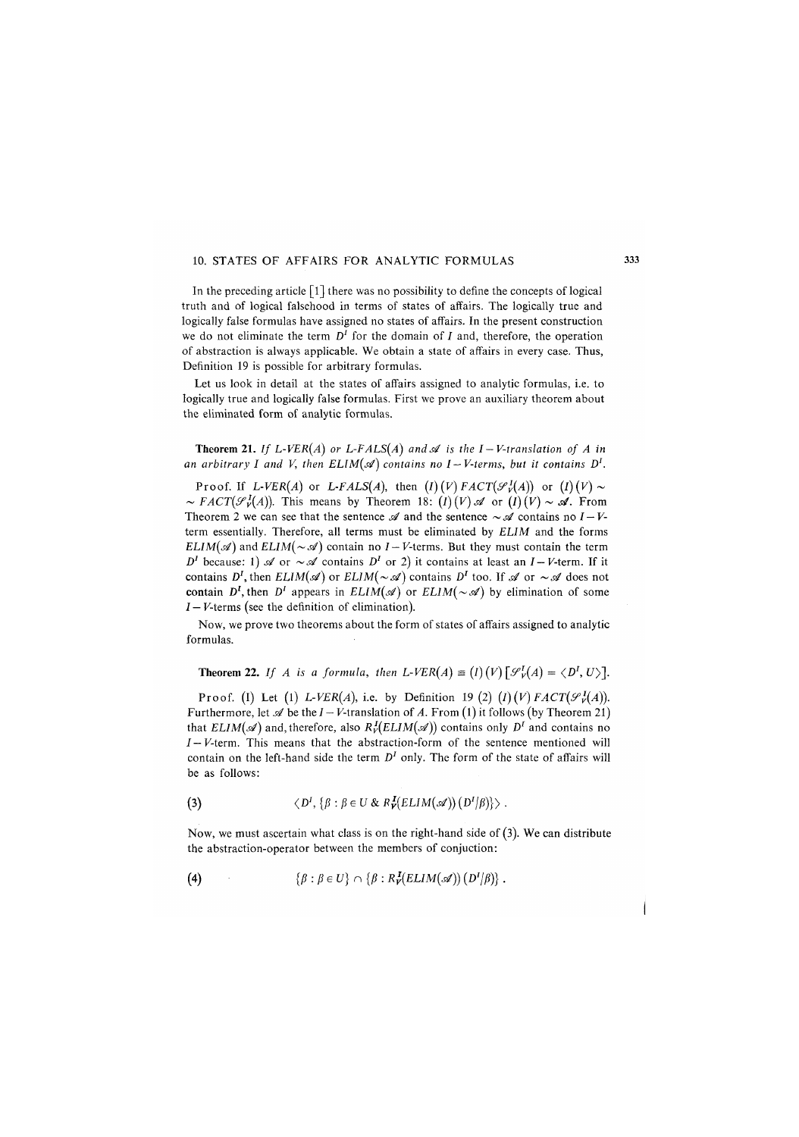#### 10. STATES OF AFFAIRS FOR ANALYTIC FORMULAS

In the preceding article  $\lceil 1 \rceil$  there was no possibility to define the concepts of logical truth and of logical falsehood in terms of states of affairs. The logically true and logically false formulas have assigned no states of affairs. In the present construction we do not eliminate the term *D'* for the domain of *I* and, therefore, the operation of abstraction is always applicable. We obtain a state of affairs in every case. Thus, Definition 19 is possible for arbitrary formulas.

Let us look in detail at the states of affairs assigned to analytic formulas, i.e. to logically true and logically false formulas. First we prove an auxiliary theorem about the eliminated form of analytic formulas.

**Theorem 21.** If L-VER(A) or L-FALS(A) and  $\mathscr A$  is the I-V-translation of A in an arbitrary I and V, then  $ELIM(\mathscr{A})$  contains no I–V-terms, but it contains  $D^I$ .

Proof. If  $L$ -VER(A) or  $L$ -FALS(A), then  $(I)(V)$  FACT( $\mathcal{S}_V^I(A)$ ) or  $(I)(V) \sim$  $\sim$  *FACT*( $\mathscr{S}_{V}^{I}(A)$ ). This means by Theorem 18: (*I*)(*V*)  $\mathscr{A}$  or (*I*)(*V*)  $\sim$   $\mathscr{A}$ . From Theorem 2 we can see that the sentence  $\mathcal A$  and the sentence  $\sim \mathcal A$  contains no  $I - V$ term essentially. Therefore, all terms must be eliminated by *EL1M* and the forms *ELIM(si)* and *ELIM(* $\sim$ *si)* contain no *I* – *V*-terms. But they must contain the term *D*<sup>*I*</sup> because: 1)  $\mathscr A$  or  $\sim \mathscr A$  contains *D<sup><i>I*</sup> or 2) it contains at least an *I*-*V*-term. If it contains  $D^I$ , then  $ELIM(\mathcal{A})$  or  $ELIM(\sim \mathcal{A})$  contains  $D^I$  too. If  $\mathcal{A}$  or  $\sim \mathcal{A}$  does not contain  $D^I$ , then  $D^I$  appears in  $ELIM(\mathcal{A})$  or  $ELIM(\sim \mathcal{A})$  by elimination of some  $I-V$ -terms (see the definition of elimination).

Now, we prove two theorems about the form of states of affairs assigned to analytic formulas.

**Theorem 22.** If A is a formula, then L-VER(A)  $\equiv (I)(V) [\mathcal{S}_V^I(A) = \langle D^I, U \rangle].$ 

Proof. (I) Let (1)  $L$ -VER(A), i.e. by Definition 19 (2) (I) (V)  $FACT(\mathcal{S}_{V}^{I}(A))$ . Furthermore, let  $\mathscr A$  be the  $I - V$ -translation of A. From (1) it follows (by Theorem 21) that  $ELIM(\mathcal{A})$  and, therefore, also  $R^I_V(ELIM(\mathcal{A}))$  contains only  $D^I$  and contains no *I— V*-term. This means that the abstraction-form of the sentence mentioned will contain on the left-hand side the term  $D<sup>I</sup>$  only. The form of the state of affairs will be as follows:

(3) 
$$
\langle D^I, \{\beta : \beta \in U \& R^I_V(ELIM(\mathscr{A})) (D^I/\beta)\}\rangle
$$
.

Now, we must ascertain what class is on the right-hand side of (3). We can distribute the abstraction-operator between the members of conjuction:

(4) 
$$
\{\beta : \beta \in U\} \cap \{\beta : R^I_V(ELIM(\mathscr{A})) (D^I/\beta)\}.
$$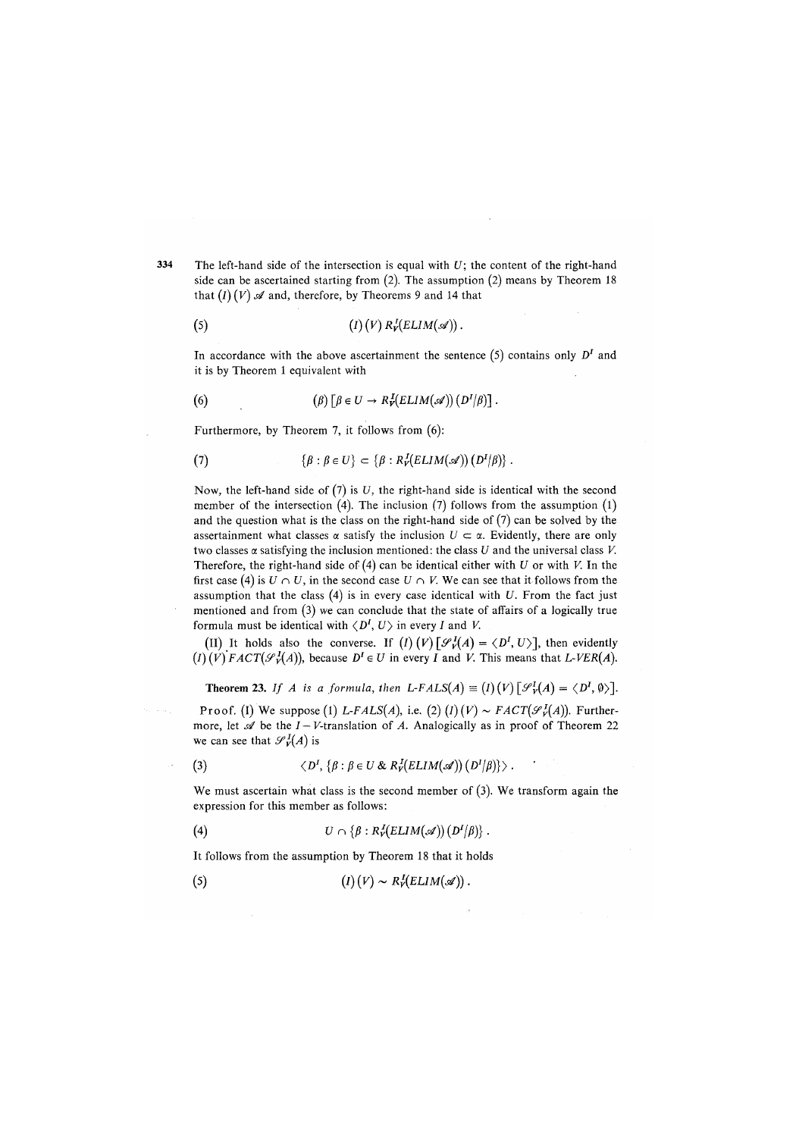The left-hand side of the intersection is equal with *U*; the content of the right-hand side can be ascertained starting from (2). The assumption (2) means by Theorem 18 that  $(I)(V)$   $\mathscr A$  and, therefore, by Theorems 9 and 14 that

(5) 
$$
(I) (V) R_V^I (ELIM(\mathscr{A})).
$$

In accordance with the above ascertainment the sentence  $(5)$  contains only  $D<sup>I</sup>$  and it is by Theorem 1 equivalent with

(6) 
$$
(\beta) [\beta \in U \to R^I_V(ELIM(\mathscr{A})) (D^I/\beta)].
$$

Furthermore, by Theorem 7, it follows from (6):

(7) 
$$
\{\beta : \beta \in U\} \subset \{\beta : R^I_V(\mathit{ELIM}(\mathscr{A})) (D^I/\beta)\}.
$$

Now, the left-hand side of (7) is *U*, the right-hand side is identical with the second member of the intersection  $(4)$ . The inclusion  $(7)$  follows from the assumption  $(1)$ and the question what is the class on the right-hand side of  $(7)$  can be solved by the assertainment what classes  $\alpha$  satisfy the inclusion  $U \subset \alpha$ . Evidently, there are only two classes  $\alpha$  satisfying the inclusion mentioned: the class  $U$  and the universal class  $V$ . Therefore, the right-hand side of (4) can be identical either with *U* or with *V*. In the first case (4) is  $U \cap U$ , in the second case  $U \cap V$ . We can see that it follows from the assumption that the class (4) is in every case identical with *U*. From the fact just mentioned and from (3) we can conclude that the state of affairs of a logically true formula must be identical with  $\langle D^I, U \rangle$  in every I and V.

(II) It holds also the converse. If  $(I)$   $(V)$   $[\mathcal{S}_V^I(A) = \langle D^I, U \rangle]$ , then evidently  $(I)(V)$  *FACT* $(\mathcal{S}_V^I(A))$ , because  $D^I \in U$  in every *I* and *V*. This means that *L-VER(A)*.

**Theorem 23.** If A is a formula, then  $L\text{-}FALSE(A) \equiv (I)(V)[\mathcal{S}_V^I(A) = \langle D^I, \emptyset \rangle].$ 

Proof. (I) We suppose (1) L-FALS(A), i.e. (2)  $(I)(V) \sim FACT(\mathcal{S}_V^I(A))$ . Furthermore, let  $\mathscr A$  be the  $I - V$ -translation of A. Analogically as in proof of Theorem 22 we can see that  $\mathcal{S}_{\nu}^I(A)$  is

(3) 
$$
\langle D^I, \{\beta : \beta \in U \& R^I_V(ELIM(\mathscr{A})) (D^I/\beta) \}\rangle
$$
.

We must ascertain what class is the second member of (3). We transform again the expression for this member as follows:

(4) 
$$
U \cap {\beta : R^J_V(ELIM(\mathscr{A})) (D^I/\beta)}.
$$

It follows from the assumption by Theorem 18 that it holds

$$
(5) \t\t\t (I) (V) \sim R_V^I(ELIM(\mathscr{A})).
$$